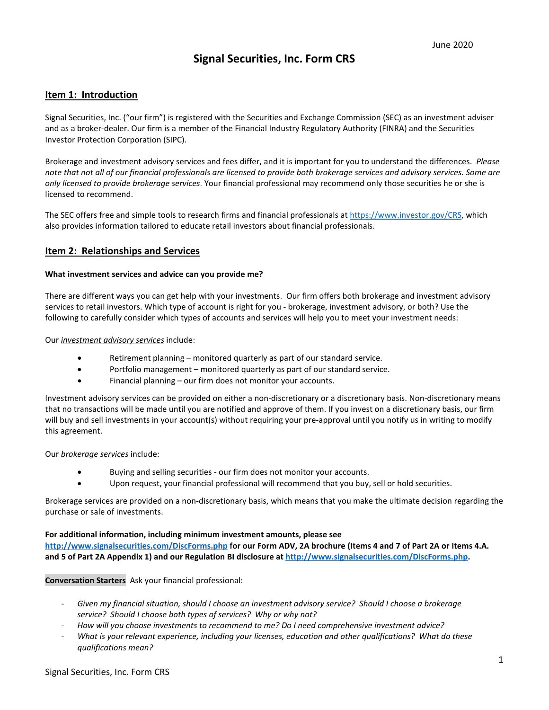# **Signal Securities, Inc. Form CRS**

## **Item 1: Introduction**

Signal Securities, Inc. ("our firm") is registered with the Securities and Exchange Commission (SEC) as an investment adviser and as a broker-dealer. Our firm is a member of the Financial Industry Regulatory Authority (FINRA) and the Securities Investor Protection Corporation (SIPC).

Brokerage and investment advisory services and fees differ, and it is important for you to understand the differences.*Please note that not all of our financial professionals are licensed to provide both brokerage services and advisory services. Some are only licensed to provide brokerage services*. Your financial professional may recommend only those securities he or she is licensed to recommend.

The SEC offers free and simple tools to research firms and financial professionals at https://www.investor.gov/CRS, which also provides information tailored to educate retail investors about financial professionals.

## **Item 2: Relationships and Services**

#### **What investment services and advice can you provide me?**

There are different ways you can get help with your investments. Our firm offers both brokerage and investment advisory services to retail investors. Which type of account is right for you - brokerage, investment advisory, or both? Use the following to carefully consider which types of accounts and services will help you to meet your investment needs:

Our *investment advisory services* include:

- Retirement planning monitored quarterly as part of our standard service.
- Portfolio management monitored quarterly as part of our standard service.
- Financial planning our firm does not monitor your accounts.

Investment advisory services can be provided on either a non-discretionary or a discretionary basis. Non-discretionary means that no transactions will be made until you are notified and approve of them. If you invest on a discretionary basis, our firm will buy and sell investments in your account(s) without requiring your pre-approval until you notify us in writing to modify this agreement.

#### Our *brokerage services* include:

- Buying and selling securities our firm does not monitor your accounts.
- Upon request, your financial professional will recommend that you buy, sell or hold securities.

Brokerage services are provided on a non-discretionary basis, which means that you make the ultimate decision regarding the purchase or sale of investments.

#### **For additional information, including minimum investment amounts, please see**

**http://www.signalsecurities.com/DiscForms.php for our Form ADV, 2A brochure (Items 4 and 7 of Part 2A or Items 4.A. and 5 of Part 2A Appendix 1) and our Regulation BI disclosure at http://www.signalsecurities.com/DiscForms.php.**

**Conversation Starters** Ask your financial professional:

- *Given my financial situation, should I choose an investment advisory service?  Should I choose a brokerage service?  Should I choose both types of services?  Why or why not?*
- *How will you choose investments to recommend to me? Do I need comprehensive investment advice?*
- *What is your relevant experience, including your licenses, education and other qualifications?  What do these qualifications mean?*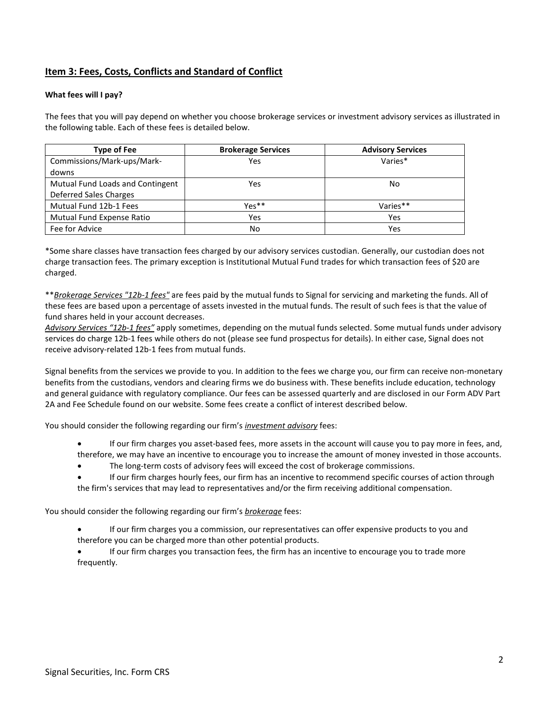# **Item 3: Fees, Costs, Conflicts and Standard of Conflict**

## **What fees will I pay?**

The fees that you will pay depend on whether you choose brokerage services or investment advisory services as illustrated in the following table. Each of these fees is detailed below.

| <b>Type of Fee</b>               | <b>Brokerage Services</b> | <b>Advisory Services</b> |
|----------------------------------|---------------------------|--------------------------|
| Commissions/Mark-ups/Mark-       | Yes                       | Varies*                  |
| downs                            |                           |                          |
| Mutual Fund Loads and Contingent | Yes                       | No                       |
| Deferred Sales Charges           |                           |                          |
| Mutual Fund 12b-1 Fees           | $Y_{P}$ s**               | Varies**                 |
| Mutual Fund Expense Ratio        | Yes                       | Yes                      |
| Fee for Advice                   | No                        | Yes                      |

\*Some share classes have transaction fees charged by our advisory services custodian. Generally, our custodian does not charge transaction fees. The primary exception is Institutional Mutual Fund trades for which transaction fees of \$20 are charged.

\*\**Brokerage Services "12b-1 fees"* are fees paid by the mutual funds to Signal for servicing and marketing the funds. All of these fees are based upon a percentage of assets invested in the mutual funds. The result of such fees is that the value of fund shares held in your account decreases.

*Advisory Services "12b-1 fees"* apply sometimes, depending on the mutual funds selected. Some mutual funds under advisory services do charge 12b-1 fees while others do not (please see fund prospectus for details). In either case, Signal does not receive advisory-related 12b-1 fees from mutual funds.

Signal benefits from the services we provide to you. In addition to the fees we charge you, our firm can receive non-monetary benefits from the custodians, vendors and clearing firms we do business with. These benefits include education, technology and general guidance with regulatory compliance. Our fees can be assessed quarterly and are disclosed in our Form ADV Part 2A and Fee Schedule found on our website. Some fees create a conflict of interest described below.

You should consider the following regarding our firm's *investment advisory* fees:

- If our firm charges you asset-based fees, more assets in the account will cause you to pay more in fees, and, therefore, we may have an incentive to encourage you to increase the amount of money invested in those accounts.
- The long-term costs of advisory fees will exceed the cost of brokerage commissions.
- If our firm charges hourly fees, our firm has an incentive to recommend specific courses of action through the firm's services that may lead to representatives and/or the firm receiving additional compensation.

You should consider the following regarding our firm's *brokerage* fees:

- If our firm charges you a commission, our representatives can offer expensive products to you and therefore you can be charged more than other potential products.
- If our firm charges you transaction fees, the firm has an incentive to encourage you to trade more frequently.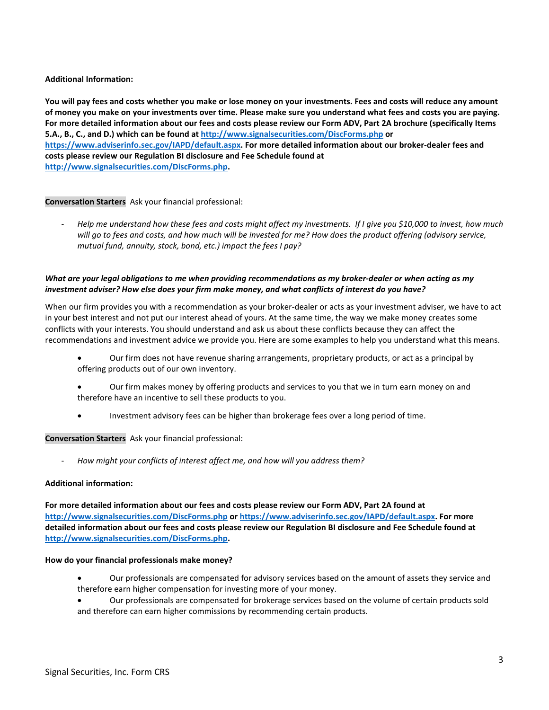## **Additional Information:**

**You will pay fees and costs whether you make or lose money on your investments. Fees and costs will reduce any amount of money you make on your investments over time. Please make sure you understand what fees and costs you are paying. For more detailed information about our fees and costs please review our Form ADV, Part 2A brochure (specifically Items 5.A., B., C., and D.) which can be found at http://www.signalsecurities.com/DiscForms.php or https://www.adviserinfo.sec.gov/IAPD/default.aspx. For more detailed information about our broker-dealer fees and costs please review our Regulation BI disclosure and Fee Schedule found at http://www.signalsecurities.com/DiscForms.php.**

### **Conversation Starters**  Ask your financial professional:

- *Help me understand how these fees and costs might affect my investments.  If I give you \$10,000 to invest, how much will go to fees and costs, and how much will be invested for me? How does the product offering (advisory service, mutual fund, annuity, stock, bond, etc.) impact the fees I pay?*

## *What are your legal obligations to me when providing recommendations as my broker-dealer or when acting as my investment adviser? How else does your firm make money, and what conflicts of interest do you have?*

When our firm provides you with a recommendation as your broker-dealer or acts as your investment adviser, we have to act in your best interest and not put our interest ahead of yours. At the same time, the way we make money creates some conflicts with your interests. You should understand and ask us about these conflicts because they can affect the recommendations and investment advice we provide you. Here are some examples to help you understand what this means.

- Our firm does not have revenue sharing arrangements, proprietary products, or act as a principal by offering products out of our own inventory.
- Our firm makes money by offering products and services to you that we in turn earn money on and therefore have an incentive to sell these products to you.
- Investment advisory fees can be higher than brokerage fees over a long period of time.

#### **Conversation Starters**  Ask your financial professional:

How might your conflicts of interest affect me, and how will you address them?

#### **Additional information:**

**For more detailed information about our fees and costs please review our Form ADV, Part 2A found at http://www.signalsecurities.com/DiscForms.php or https://www.adviserinfo.sec.gov/IAPD/default.aspx. For more detailed information about our fees and costs please review our Regulation BI disclosure and Fee Schedule found at http://www.signalsecurities.com/DiscForms.php.**

#### **How do your financial professionals make money?**

- Our professionals are compensated for advisory services based on the amount of assets they service and therefore earn higher compensation for investing more of your money.
- Our professionals are compensated for brokerage services based on the volume of certain products sold and therefore can earn higher commissions by recommending certain products.